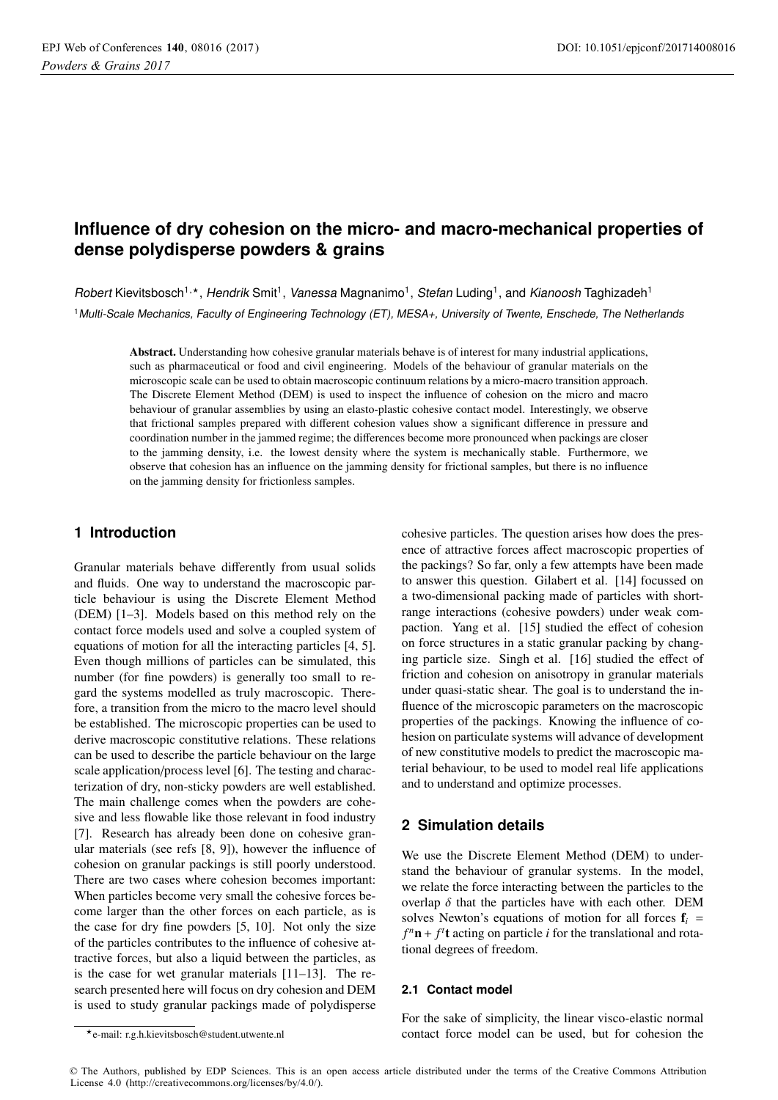# **Influence of dry cohesion on the micro- and macro-mechanical properties of dense polydisperse powders & grains**

Robert Kievitsbosch<sup>1,\*</sup>, Hendrik Smit<sup>1</sup>, Vanessa Magnanimo<sup>1</sup>, Stefan Luding<sup>1</sup>, and Kianoosh Taghizadeh<sup>1</sup> <sup>1</sup>Multi-Scale Mechanics, Faculty of Engineering Technology (ET), MESA+, University of Twente, Enschede, The Netherlands

Abstract. Understanding how cohesive granular materials behave is of interest for many industrial applications, such as pharmaceutical or food and civil engineering. Models of the behaviour of granular materials on the microscopic scale can be used to obtain macroscopic continuum relations by a micro-macro transition approach. The Discrete Element Method (DEM) is used to inspect the influence of cohesion on the micro and macro behaviour of granular assemblies by using an elasto-plastic cohesive contact model. Interestingly, we observe that frictional samples prepared with different cohesion values show a significant difference in pressure and coordination number in the jammed regime; the differences become more pronounced when packings are closer to the jamming density, i.e. the lowest density where the system is mechanically stable. Furthermore, we observe that cohesion has an influence on the jamming density for frictional samples, but there is no influence on the jamming density for frictionless samples.

# **1 Introduction**

Granular materials behave differently from usual solids and fluids. One way to understand the macroscopic particle behaviour is using the Discrete Element Method (DEM) [1–3]. Models based on this method rely on the contact force models used and solve a coupled system of equations of motion for all the interacting particles [4, 5]. Even though millions of particles can be simulated, this number (for fine powders) is generally too small to regard the systems modelled as truly macroscopic. Therefore, a transition from the micro to the macro level should be established. The microscopic properties can be used to derive macroscopic constitutive relations. These relations can be used to describe the particle behaviour on the large scale application/process level [6]. The testing and characterization of dry, non-sticky powders are well established. The main challenge comes when the powders are cohesive and less flowable like those relevant in food industry [7]. Research has already been done on cohesive granular materials (see refs [8, 9]), however the influence of cohesion on granular packings is still poorly understood. There are two cases where cohesion becomes important: When particles become very small the cohesive forces become larger than the other forces on each particle, as is the case for dry fine powders [5, 10]. Not only the size of the particles contributes to the influence of cohesive attractive forces, but also a liquid between the particles, as is the case for wet granular materials [11–13]. The research presented here will focus on dry cohesion and DEM is used to study granular packings made of polydisperse

cohesive particles. The question arises how does the presence of attractive forces affect macroscopic properties of the packings? So far, only a few attempts have been made to answer this question. Gilabert et al. [14] focussed on a two-dimensional packing made of particles with shortrange interactions (cohesive powders) under weak compaction. Yang et al. [15] studied the effect of cohesion on force structures in a static granular packing by changing particle size. Singh et al. [16] studied the effect of friction and cohesion on anisotropy in granular materials under quasi-static shear. The goal is to understand the influence of the microscopic parameters on the macroscopic properties of the packings. Knowing the influence of cohesion on particulate systems will advance of development of new constitutive models to predict the macroscopic material behaviour, to be used to model real life applications and to understand and optimize processes.

# **2 Simulation details**

We use the Discrete Element Method (DEM) to understand the behaviour of granular systems. In the model, we relate the force interacting between the particles to the overlap  $\delta$  that the particles have with each other. DEM solves Newton's equations of motion for all forces  $f_i$  =  $f^n$ **n** +  $f^t$ **t** acting on particle *i* for the translational and rotational degrees of freedom.

### **2.1 Contact model**

For the sake of simplicity, the linear visco-elastic normal contact force model can be used, but for cohesion the

© The Authors, published by EDP Sciences. This is an open access article distributed under the terms of the Creative Commons Attribution License 4.0 (http://creativecommons.org/licenses/by/4.0/).

<sup>-</sup>e-mail: r.g.h.kievitsbosch@student.utwente.nl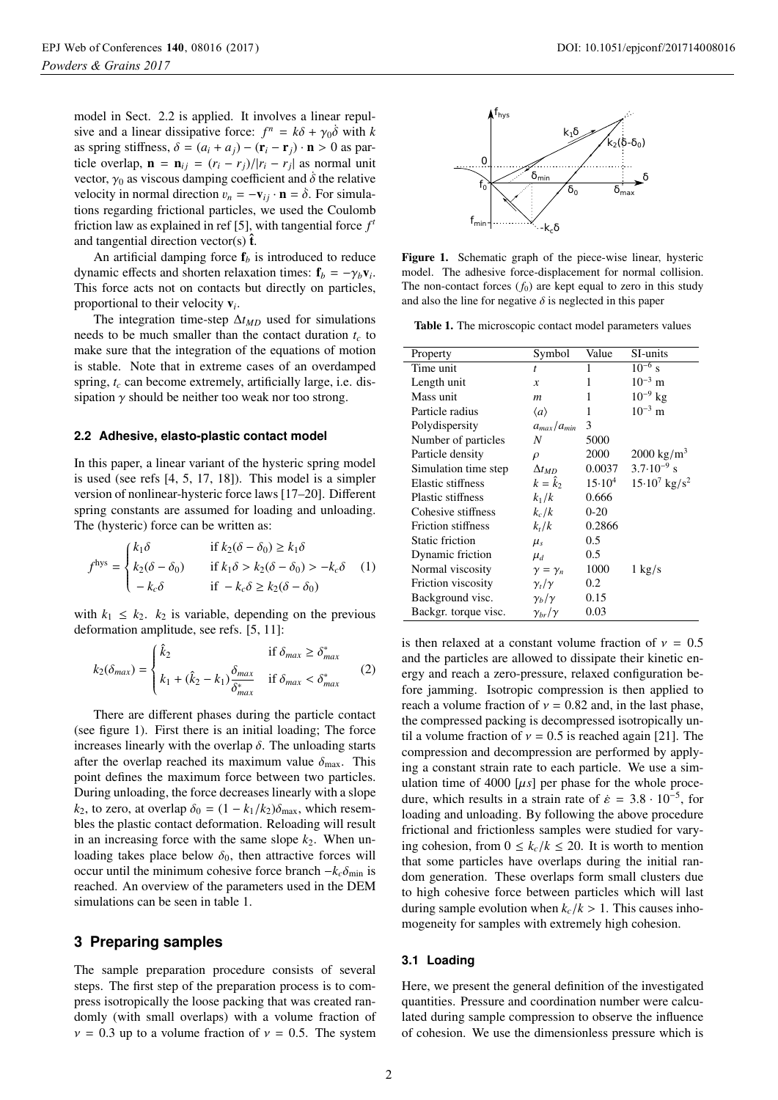model in Sect. 2.2 is applied. It involves a linear repulsive and a linear dissipative force:  $f^n = k\delta + \gamma_0 \dot{\delta}$  with *k* as spring stiffness,  $\delta = (a_i + a_j) - (\mathbf{r}_i - \mathbf{r}_j) \cdot \mathbf{n} > 0$  as particle overlap,  $\mathbf{n} = \mathbf{n}_{ij} = (r_i - r_j)/|r_i - r_j|$  as normal unit vector,  $\gamma_0$  as viscous damping coefficient and  $\dot{\delta}$  the relative velocity in normal direction  $v_n = -v_{ij} \cdot \mathbf{n} = \dot{\delta}$ . For simulations regarding frictional particles, we used the Coulomb friction law as explained in ref [5], with tangential force  $f<sup>t</sup>$ and tangential direction vector(s)  $\hat{\mathbf{t}}$ .

An artificial damping force  $f<sub>b</sub>$  is introduced to reduce dynamic effects and shorten relaxation times:  $f_b = -\gamma_b v_i$ . This force acts not on contacts but directly on particles, proportional to their velocity <sup>v</sup>*<sup>i</sup>*.

The integration time-step  $\Delta t_{MD}$  used for simulations needs to be much smaller than the contact duration  $t_c$  to make sure that the integration of the equations of motion is stable. Note that in extreme cases of an overdamped spring,  $t_c$  can become extremely, artificially large, i.e. dissipation  $\gamma$  should be neither too weak nor too strong.

#### **2.2 Adhesive, elasto-plastic contact model**

In this paper, a linear variant of the hysteric spring model is used (see refs [4, 5, 17, 18]). This model is a simpler version of nonlinear-hysteric force laws [17–20]. Different spring constants are assumed for loading and unloading. The (hysteric) force can be written as:

$$
fhys = \begin{cases} k_1 \delta & \text{if } k_2(\delta - \delta_0) \ge k_1 \delta \\ k_2(\delta - \delta_0) & \text{if } k_1 \delta > k_2(\delta - \delta_0) > -k_c \delta \\ -k_c \delta & \text{if } -k_c \delta \ge k_2(\delta - \delta_0) \end{cases}
$$
 (1)

with  $k_1 \leq k_2$ .  $k_2$  is variable, depending on the previous deformation amplitude, see refs. [5, 11]:

$$
k_2(\delta_{max}) = \begin{cases} \hat{k}_2 & \text{if } \delta_{max} \ge \delta_{max}^* \\ k_1 + (\hat{k}_2 - k_1) \frac{\delta_{max}}{\delta_{max}^*} & \text{if } \delta_{max} < \delta_{max}^* \end{cases} \tag{2}
$$

There are different phases during the particle contact (see figure 1). First there is an initial loading; The force increases linearly with the overlap  $\delta$ . The unloading starts after the overlap reached its maximum value  $\delta_{\text{max}}$ . This point defines the maximum force between two particles. During unloading, the force decreases linearly with a slope  $k_2$ , to zero, at overlap  $\delta_0 = (1 - k_1/k_2) \delta_{\text{max}}$ , which resembles the plastic contact deformation. Reloading will result in an increasing force with the same slope  $k_2$ . When unloading takes place below  $\delta_0$ , then attractive forces will occur until the minimum cohesive force branch  $-k_c \delta_{\min}$  is reached. An overview of the parameters used in the DEM simulations can be seen in table 1.

### **3 Preparing samples**

The sample preparation procedure consists of several steps. The first step of the preparation process is to compress isotropically the loose packing that was created randomly (with small overlaps) with a volume fraction of  $v = 0.3$  up to a volume fraction of  $v = 0.5$ . The system



Figure 1. Schematic graph of the piece-wise linear, hysteric model. The adhesive force-displacement for normal collision. The non-contact forces  $(f_0)$  are kept equal to zero in this study and also the line for negative  $\delta$  is neglected in this paper

Table 1. The microscopic contact model parameters values

| Property                  | Symbol               | Value           | SI-units                    |
|---------------------------|----------------------|-----------------|-----------------------------|
| Time unit                 | t                    | 1               | $10^{-6}$ s                 |
| Length unit               | $\mathcal{X}$        | 1               | $10^{-3}$ m                 |
| Mass unit                 | m                    | 1               | $10^{-9}$ kg                |
| Particle radius           | $\langle a \rangle$  | 1               | $10^{-3}$ m                 |
| Polydispersity            | $a_{max}/a_{min}$    | 3               |                             |
| Number of particles       | N                    | 5000            |                             |
| Particle density          | $\rho$               | 2000            | $2000 \text{ kg/m}^3$       |
| Simulation time step      | $\Delta t_{MD}$      | 0.0037          | $3.7 \cdot 10^{-9}$ s       |
| Elastic stiffness         | $k = k_2$            | $15 \cdot 10^4$ | $15.10^7$ kg/s <sup>2</sup> |
| Plastic stiffness         | $k_1/k$              | 0.666           |                             |
| Cohesive stiffness        | $k_c/k$              | $0 - 20$        |                             |
| <b>Friction stiffness</b> | $k_t/k$              | 0.2866          |                             |
| <b>Static friction</b>    | $\mu_s$              | 0.5             |                             |
| Dynamic friction          | $\mu_d$              | 0.5             |                             |
| Normal viscosity          | $\gamma = \gamma_n$  | 1000            | $1 \text{ kg/s}$            |
| Friction viscosity        | $\gamma_t/\gamma$    | 0.2             |                             |
| Background visc.          | $\gamma_b/\gamma$    | 0.15            |                             |
| Backgr. torque visc.      | $\gamma_{br}/\gamma$ | 0.03            |                             |

is then relaxed at a constant volume fraction of  $v = 0.5$ and the particles are allowed to dissipate their kinetic energy and reach a zero-pressure, relaxed configuration before jamming. Isotropic compression is then applied to reach a volume fraction of  $v = 0.82$  and, in the last phase, the compressed packing is decompressed isotropically until a volume fraction of  $v = 0.5$  is reached again [21]. The compression and decompression are performed by applying a constant strain rate to each particle. We use a simulation time of 4000  $[\mu s]$  per phase for the whole procedure, which results in a strain rate of  $\dot{\epsilon} = 3.8 \cdot 10^{-5}$ , for loading and unloading. By following the above procedure frictional and frictionless samples were studied for varying cohesion, from  $0 \leq k_c/k \leq 20$ . It is worth to mention that some particles have overlaps during the initial random generation. These overlaps form small clusters due to high cohesive force between particles which will last during sample evolution when  $k_c/k > 1$ . This causes inhomogeneity for samples with extremely high cohesion.

#### **3.1 Loading**

Here, we present the general definition of the investigated quantities. Pressure and coordination number were calculated during sample compression to observe the influence of cohesion. We use the dimensionless pressure which is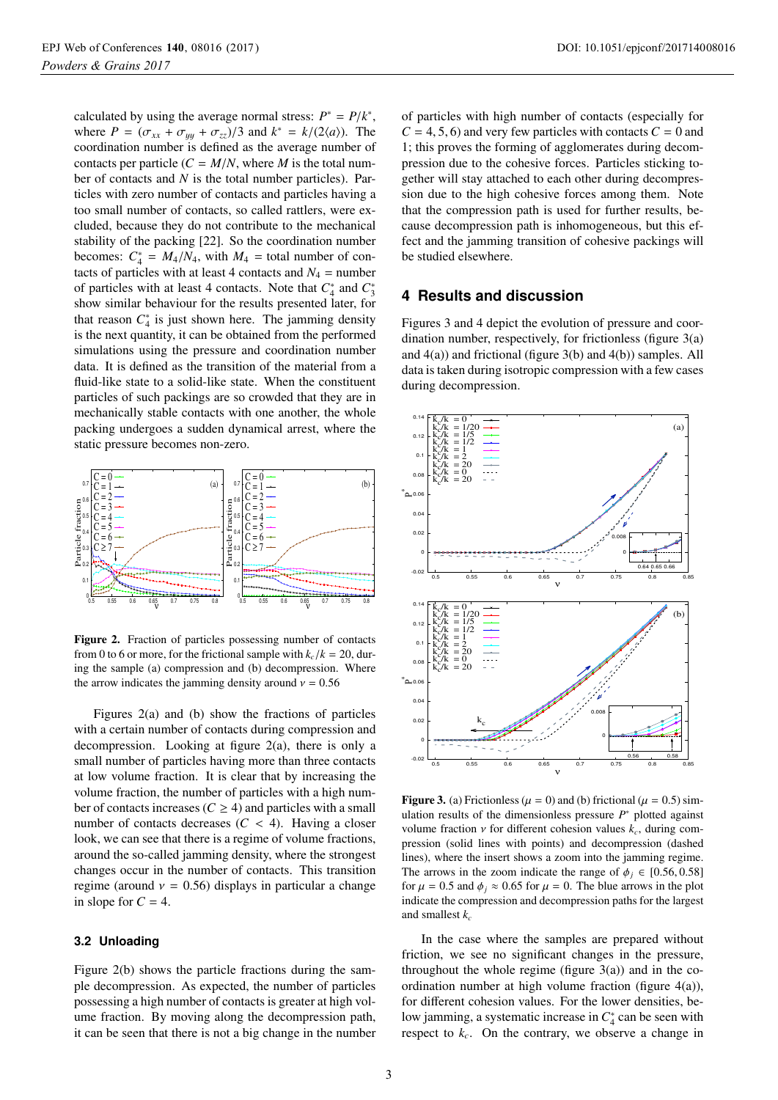calculated by using the average normal stress:  $P^* = P/k^*$ , where  $P = (\sigma_{xx} + \sigma_{yy} + \sigma_{zz})/3$  and  $k^* = k/(2\langle a \rangle)$ . The coordination number is defined as the average number of contacts per particle  $(C = M/N)$ , where *M* is the total number of contacts and *N* is the total number particles). Particles with zero number of contacts and particles having a too small number of contacts, so called rattlers, were excluded, because they do not contribute to the mechanical stability of the packing [22]. So the coordination number becomes:  $C_4^* = M_4/N_4$ , with  $M_4$  = total number of contacts of particles with at least 4 contacts and  $N_4$  = number of particles with at least 4 contacts. Note that  $C_4^*$  and  $C_3^*$ show similar behaviour for the results presented later, for that reason  $C_4^*$  is just shown here. The jamming density is the next quantity, it can be obtained from the performed simulations using the pressure and coordination number data. It is defined as the transition of the material from a fluid-like state to a solid-like state. When the constituent particles of such packings are so crowded that they are in mechanically stable contacts with one another, the whole packing undergoes a sudden dynamical arrest, where the static pressure becomes non-zero.



Figure 2. Fraction of particles possessing number of contacts from 0 to 6 or more, for the frictional sample with  $k_c/k = 20$ , during the sample (a) compression and (b) decompression. Where the arrow indicates the jamming density around  $v = 0.56$ 

Figures 2(a) and (b) show the fractions of particles with a certain number of contacts during compression and decompression. Looking at figure 2(a), there is only a small number of particles having more than three contacts at low volume fraction. It is clear that by increasing the volume fraction, the number of particles with a high number of contacts increases ( $C \geq 4$ ) and particles with a small number of contacts decreases  $(C < 4)$ . Having a closer look, we can see that there is a regime of volume fractions, around the so-called jamming density, where the strongest changes occur in the number of contacts. This transition regime (around  $v = 0.56$ ) displays in particular a change in slope for  $C = 4$ .

#### **3.2 Unloading**

Figure 2(b) shows the particle fractions during the sample decompression. As expected, the number of particles possessing a high number of contacts is greater at high volume fraction. By moving along the decompression path, it can be seen that there is not a big change in the number of particles with high number of contacts (especially for  $C = 4, 5, 6$  and very few particles with contacts  $C = 0$  and 1; this proves the forming of agglomerates during decompression due to the cohesive forces. Particles sticking together will stay attached to each other during decompression due to the high cohesive forces among them. Note that the compression path is used for further results, because decompression path is inhomogeneous, but this effect and the jamming transition of cohesive packings will be studied elsewhere.

# **4 Results and discussion**

Figures 3 and 4 depict the evolution of pressure and coordination number, respectively, for frictionless (figure 3(a) and 4(a)) and frictional (figure 3(b) and 4(b)) samples. All data is taken during isotropic compression with a few cases during decompression.



Figure 3. (a) Frictionless ( $\mu$  = 0) and (b) frictional ( $\mu$  = 0.5) simulation results of the dimensionless pressure *P*<sup>∗</sup> plotted against volume fraction  $\nu$  for different cohesion values  $k_c$ , during compression (solid lines with points) and decompression (dashed lines), where the insert shows a zoom into the jamming regime. The arrows in the zoom indicate the range of  $\phi_i \in [0.56, 0.58]$ for  $\mu = 0.5$  and  $\phi_i \approx 0.65$  for  $\mu = 0$ . The blue arrows in the plot indicate the compression and decompression paths for the largest and smallest *kc*

In the case where the samples are prepared without friction, we see no significant changes in the pressure, throughout the whole regime (figure  $3(a)$ ) and in the coordination number at high volume fraction (figure  $4(a)$ ), for different cohesion values. For the lower densities, below jamming, a systematic increase in  $C_4^*$  can be seen with respect to  $k_c$ . On the contrary, we observe a change in